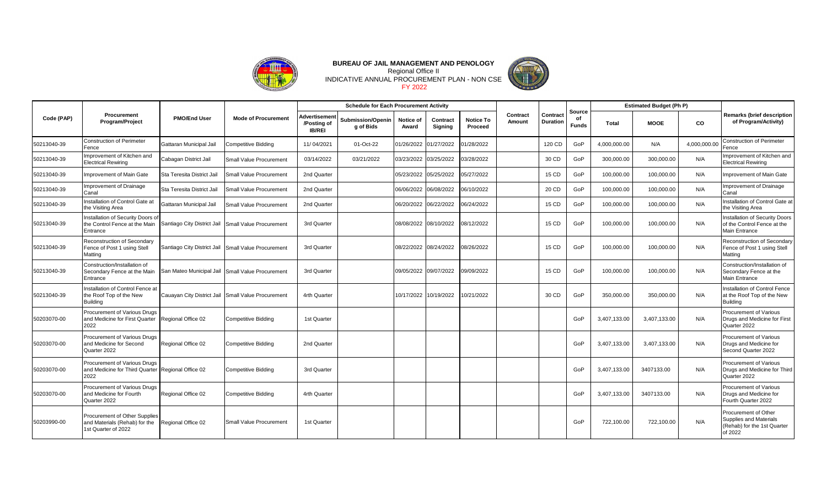

## INDICATIVE ANNUAL PROCUREMENT PLAN - NON CSE **BUREAU OF JAIL MANAGEMENT AND PENOLOGY** Regional Office II FY 2022



| Code (PAP)  |                                                                                           | <b>PMO/End User</b>         | <b>Mode of Procurement</b>                         | <b>Schedule for Each Procurement Activity</b> |                                |                    |                       |                             |                    |                             |                              | <b>Estimated Budget (Ph P)</b> |              |              |                                                                                          |
|-------------|-------------------------------------------------------------------------------------------|-----------------------------|----------------------------------------------------|-----------------------------------------------|--------------------------------|--------------------|-----------------------|-----------------------------|--------------------|-----------------------------|------------------------------|--------------------------------|--------------|--------------|------------------------------------------------------------------------------------------|
|             | Procurement<br>Program/Project                                                            |                             |                                                    | Advertisement<br>/Posting of<br><b>IB/REI</b> | Submission/Openin<br>g of Bids | Notice of<br>Award | Contract<br>Signing   | <b>Notice To</b><br>Proceed | Contract<br>Amount | Contract<br><b>Duration</b> | Source<br>of<br><b>Funds</b> | Total                          | <b>MOOE</b>  | <b>CO</b>    | <b>Remarks (brief description</b><br>of Program/Activity)                                |
| 50213040-39 | <b>Construction of Perimeter</b><br>Fence                                                 | Gattaran Municipal Jail     | Competitive Bidding                                | 11/04/2021                                    | 01-Oct-22                      |                    | 01/26/2022 01/27/2022 | 01/28/2022                  |                    | 120 CD                      | GoP                          | 4,000,000.00                   | N/A          | 4,000,000.00 | <b>Construction of Perimeter</b><br>Fence                                                |
| 50213040-39 | Improvement of Kitchen and<br><b>Electrical Rewiring</b>                                  | Cabagan District Jail       | <b>Small Value Procurement</b>                     | 03/14/2022                                    | 03/21/2022                     |                    | 03/23/2022 03/25/2022 | 03/28/2022                  |                    | 30 CD                       | GoP                          | 300,000.00                     | 300,000.00   | N/A          | Improvement of Kitchen and<br><b>Electrical Rewiring</b>                                 |
| 50213040-39 | Improvement of Main Gate                                                                  | Sta Teresita District Jail  | Small Value Procurement                            | 2nd Quarter                                   |                                |                    | 05/23/2022 05/25/2022 | 05/27/2022                  |                    | 15 CD                       | GoP                          | 100,000.00                     | 100,000.00   | N/A          | Improvement of Main Gate                                                                 |
| 50213040-39 | Improvement of Drainage<br>Canal                                                          | Sta Teresita District Jail  | <b>Small Value Procurement</b>                     | 2nd Quarter                                   |                                |                    | 06/06/2022 06/08/2022 | 06/10/2022                  |                    | 20 CD                       | GoP                          | 100,000.00                     | 100,000.00   | N/A          | Improvement of Drainage<br>Canal                                                         |
| 50213040-39 | Installation of Control Gate at<br>the Visiting Area                                      | Gattaran Municipal Jail     | <b>Small Value Procurement</b>                     | 2nd Quarter                                   |                                |                    | 06/20/2022 06/22/2022 | 06/24/2022                  |                    | 15 CD                       | GoP                          | 100,000.00                     | 100,000.00   | N/A          | Installation of Control Gate at<br>the Visiting Area                                     |
| 50213040-39 | Installation of Security Doors of<br>the Control Fence at the Main<br>Entrance            | Santiago City District Jail | Small Value Procurement                            | 3rd Quarter                                   |                                |                    | 08/08/2022 08/10/2022 | 08/12/2022                  |                    | 15 CD                       | GoP                          | 100,000.00                     | 100,000.00   | N/A          | Installation of Security Doors<br>of the Control Fence at the<br>Main Entrance           |
| 50213040-39 | Reconstruction of Secondary<br>Fence of Post 1 using Stell<br>Matting                     | Santiago City District Jail | Small Value Procurement                            | 3rd Quarter                                   |                                |                    | 08/22/2022 08/24/2022 | 08/26/2022                  |                    | 15 CD                       | GoP                          | 100,000.00                     | 100,000.00   | N/A          | Reconstruction of Secondary<br>Fence of Post 1 using Stell<br>Matting                    |
| 50213040-39 | Construction/Installation of<br>Secondary Fence at the Main<br>Entrance                   |                             | San Mateo Municipal Jail Small Value Procurement   | 3rd Quarter                                   |                                |                    | 09/05/2022 09/07/2022 | 09/09/2022                  |                    | 15 CD                       | GoP                          | 100,000.00                     | 100,000.00   | N/A          | Construction/Installation of<br>Secondary Fence at the<br>Main Entrance                  |
| 50213040-39 | Installation of Control Fence at<br>the Roof Top of the New<br><b>Building</b>            |                             | Cauayan City District Jail Small Value Procurement | 4rth Quarter                                  |                                |                    | 10/17/2022 10/19/2022 | 10/21/2022                  |                    | 30 CD                       | GoP                          | 350,000.00                     | 350.000.00   | N/A          | Installation of Control Fence<br>at the Roof Top of the New<br><b>Building</b>           |
| 50203070-00 | Procurement of Various Drugs<br>and Medicine for First Quarter<br>2022                    | Regional Office 02          | Competitive Bidding                                | 1st Quarter                                   |                                |                    |                       |                             |                    |                             | GoP                          | 3,407,133.00                   | 3,407,133.00 | N/A          | Procurement of Various<br>Drugs and Medicine for First<br>Quarter 2022                   |
| 50203070-00 | Procurement of Various Drugs<br>and Medicine for Second<br>Quarter 2022                   | Regional Office 02          | Competitive Bidding                                | 2nd Quarter                                   |                                |                    |                       |                             |                    |                             | GoP                          | 3,407,133.00                   | 3,407,133.00 | N/A          | Procurement of Various<br>Drugs and Medicine for<br>Second Quarter 2022                  |
| 50203070-00 | Procurement of Various Drugs<br>and Medicine for Third Quarter Regional Office 02<br>2022 |                             | Competitive Bidding                                | 3rd Quarter                                   |                                |                    |                       |                             |                    |                             | GoP                          | 3,407,133.00                   | 3407133.00   | N/A          | <b>Procurement of Various</b><br>Drugs and Medicine for Third<br>Quarter 2022            |
| 50203070-00 | <b>Procurement of Various Drugs</b><br>and Medicine for Fourth<br>Quarter 2022            | Regional Office 02          | Competitive Bidding                                | 4rth Quarter                                  |                                |                    |                       |                             |                    |                             | GoP                          | 3,407,133.00                   | 3407133.00   | N/A          | Procurement of Various<br>Drugs and Medicine for<br>Fourth Quarter 2022                  |
| 50203990-00 | Procurement of Other Supplies<br>and Materials (Rehab) for the<br>1st Quarter of 2022     | Regional Office 02          | <b>Small Value Procurement</b>                     | 1st Quarter                                   |                                |                    |                       |                             |                    |                             | GoP                          | 722,100.00                     | 722,100.00   | N/A          | Procurement of Other<br>Supplies and Materials<br>(Rehab) for the 1st Quarter<br>of 2022 |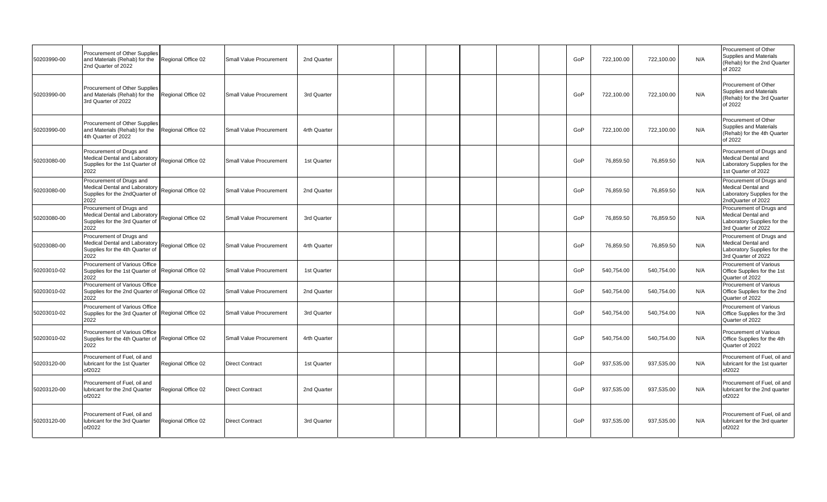| 50203990-00 | Procurement of Other Supplies<br>and Materials (Rehab) for the<br>2nd Quarter of 2022                | Regional Office 02 | Small Value Procurement | 2nd Quarter  |  |  |  | GoP | 722,100.00 | 722,100.00 | N/A | Procurement of Other<br>Supplies and Materials<br>(Rehab) for the 2nd Quarter<br>of 2022             |
|-------------|------------------------------------------------------------------------------------------------------|--------------------|-------------------------|--------------|--|--|--|-----|------------|------------|-----|------------------------------------------------------------------------------------------------------|
| 50203990-00 | Procurement of Other Supplies<br>and Materials (Rehab) for the<br>3rd Quarter of 2022                | Regional Office 02 | Small Value Procurement | 3rd Quarter  |  |  |  | GoP | 722,100.00 | 722,100.00 | N/A | Procurement of Other<br>Supplies and Materials<br>(Rehab) for the 3rd Quarter<br>of 2022             |
| 50203990-00 | Procurement of Other Supplies<br>and Materials (Rehab) for the<br>4th Quarter of 2022                | Regional Office 02 | Small Value Procurement | 4rth Quarter |  |  |  | GoP | 722,100.00 | 722,100.00 | N/A | Procurement of Other<br>Supplies and Materials<br>(Rehab) for the 4th Quarter<br>of 2022             |
| 50203080-00 | Procurement of Drugs and<br>Medical Dental and Laboratory<br>Supplies for the 1st Quarter of<br>2022 | Regional Office 02 | Small Value Procurement | 1st Quarter  |  |  |  | GoP | 76,859.50  | 76,859.50  | N/A | Procurement of Drugs and<br>Medical Dental and<br>Laboratory Supplies for the<br>1st Quarter of 2022 |
| 50203080-00 | Procurement of Drugs and<br>Medical Dental and Laboratory<br>Supplies for the 2ndQuarter of<br>2022  | Regional Office 02 | Small Value Procurement | 2nd Quarter  |  |  |  | GoP | 76,859.50  | 76,859.50  | N/A | Procurement of Drugs and<br>Medical Dental and<br>Laboratory Supplies for the<br>2ndQuarter of 2022  |
| 50203080-00 | Procurement of Drugs and<br>Medical Dental and Laboratory<br>Supplies for the 3rd Quarter of<br>2022 | Regional Office 02 | Small Value Procurement | 3rd Quarter  |  |  |  | GoP | 76,859.50  | 76,859.50  | N/A | Procurement of Drugs and<br>Medical Dental and<br>Laboratory Supplies for the<br>3rd Quarter of 2022 |
| 50203080-00 | Procurement of Drugs and<br>Medical Dental and Laboratory<br>Supplies for the 4th Quarter of<br>2022 | Regional Office 02 | Small Value Procurement | 4rth Quarter |  |  |  | GoP | 76,859.50  | 76,859.50  | N/A | Procurement of Drugs and<br>Medical Dental and<br>Laboratory Supplies for the<br>3rd Quarter of 2022 |
| 50203010-02 | Procurement of Various Office<br>Supplies for the 1st Quarter of Regional Office 02<br>2022          |                    | Small Value Procurement | 1st Quarter  |  |  |  | GoP | 540,754.00 | 540,754.00 | N/A | Procurement of Various<br>Office Supplies for the 1st<br>Quarter of 2022                             |
| 50203010-02 | Procurement of Various Office<br>Supplies for the 2nd Quarter of Regional Office 02<br>2022          |                    | Small Value Procurement | 2nd Quarter  |  |  |  | GoP | 540,754.00 | 540,754.00 | N/A | Procurement of Various<br>Office Supplies for the 2nd<br>Quarter of 2022                             |
| 50203010-02 | Procurement of Various Office<br>Supplies for the 3rd Quarter of Regional Office 02<br>2022          |                    | Small Value Procurement | 3rd Quarter  |  |  |  | GoP | 540,754.00 | 540,754.00 | N/A | <b>Procurement of Various</b><br>Office Supplies for the 3rd<br>Quarter of 2022                      |
| 50203010-02 | Procurement of Various Office<br>Supplies for the 4th Quarter of<br>2022                             | Regional Office 02 | Small Value Procurement | 4rth Quarter |  |  |  | GoP | 540,754.00 | 540,754.00 | N/A | <b>Procurement of Various</b><br>Office Supplies for the 4th<br>Quarter of 2022                      |
| 50203120-00 | Procurement of Fuel, oil and<br>lubricant for the 1st Quarter<br>of2022                              | Regional Office 02 | <b>Direct Contract</b>  | 1st Quarter  |  |  |  | GoP | 937,535.00 | 937,535.00 | N/A | Procurement of Fuel, oil and<br>lubricant for the 1st quarter<br>of2022                              |
| 50203120-00 | Procurement of Fuel, oil and<br>lubricant for the 2nd Quarter<br>of2022                              | Regional Office 02 | <b>Direct Contract</b>  | 2nd Quarter  |  |  |  | GoP | 937,535.00 | 937,535.00 | N/A | Procurement of Fuel, oil and<br>lubricant for the 2nd quarter<br>of2022                              |
| 50203120-00 | Procurement of Fuel, oil and<br>lubricant for the 3rd Quarter<br>of2022                              | Regional Office 02 | <b>Direct Contract</b>  | 3rd Quarter  |  |  |  | GoP | 937,535.00 | 937,535.00 | N/A | Procurement of Fuel, oil and<br>lubricant for the 3rd quarter<br>of2022                              |